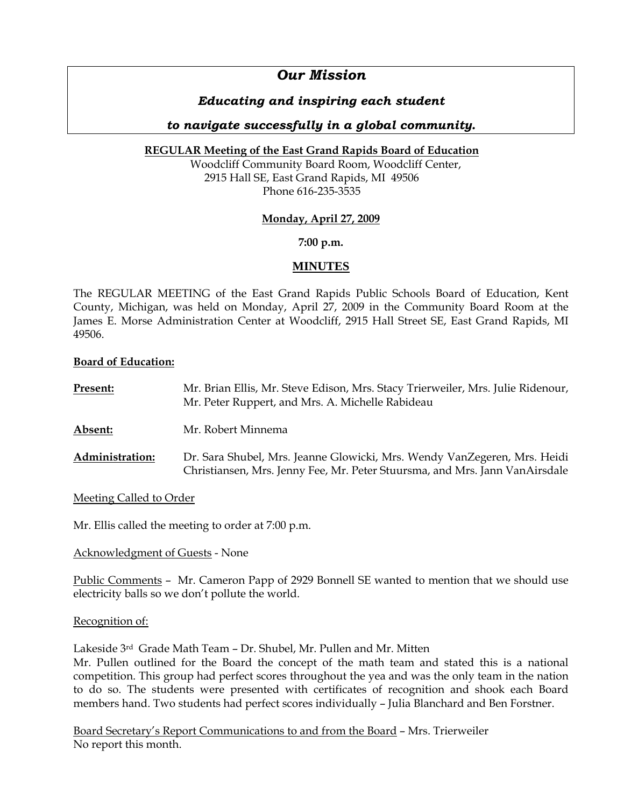# *Our Mission*

## *Educating and inspiring each student*

## *to navigate successfully in a global community.*

## **REGULAR Meeting of the East Grand Rapids Board of Education**

Woodcliff Community Board Room, Woodcliff Center, 2915 Hall SE, East Grand Rapids, MI 49506 Phone 616-235-3535

## **Monday, April 27, 2009**

## **7:00 p.m.**

## **MINUTES**

The REGULAR MEETING of the East Grand Rapids Public Schools Board of Education, Kent County, Michigan, was held on Monday, April 27, 2009 in the Community Board Room at the James E. Morse Administration Center at Woodcliff, 2915 Hall Street SE, East Grand Rapids, MI 49506.

## **Board of Education:**

- **Present:** Mr. Brian Ellis, Mr. Steve Edison, Mrs. Stacy Trierweiler, Mrs. Julie Ridenour, Mr. Peter Ruppert, and Mrs. A. Michelle Rabideau
- **Absent:** Mr. Robert Minnema
- **Administration:** Dr. Sara Shubel, Mrs. Jeanne Glowicki, Mrs. Wendy VanZegeren, Mrs. Heidi Christiansen, Mrs. Jenny Fee, Mr. Peter Stuursma, and Mrs. Jann VanAirsdale

Meeting Called to Order

Mr. Ellis called the meeting to order at 7:00 p.m.

Acknowledgment of Guests - None

Public Comments – Mr. Cameron Papp of 2929 Bonnell SE wanted to mention that we should use electricity balls so we don't pollute the world.

## Recognition of:

Lakeside 3rd Grade Math Team – Dr. Shubel, Mr. Pullen and Mr. Mitten

Mr. Pullen outlined for the Board the concept of the math team and stated this is a national competition. This group had perfect scores throughout the yea and was the only team in the nation to do so. The students were presented with certificates of recognition and shook each Board members hand. Two students had perfect scores individually – Julia Blanchard and Ben Forstner.

Board Secretary's Report Communications to and from the Board – Mrs. Trierweiler No report this month.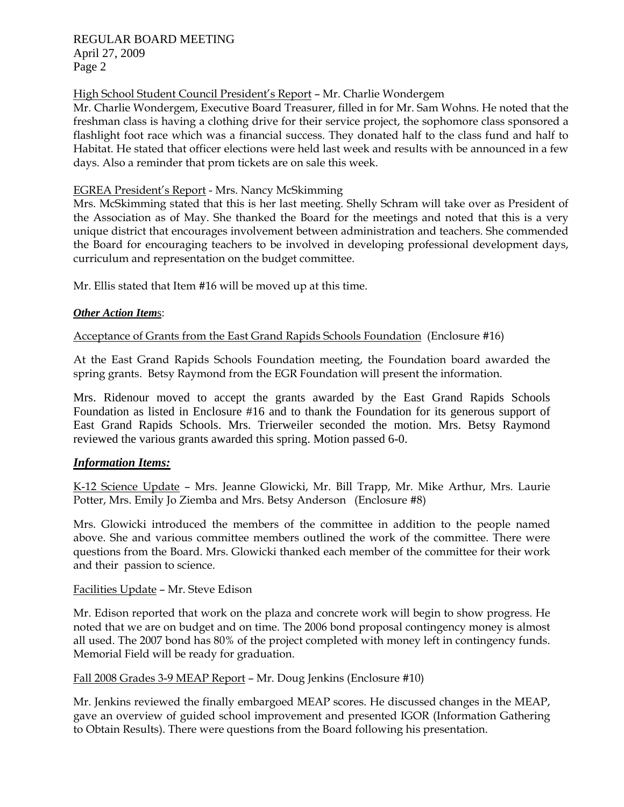REGULAR BOARD MEETING April 27, 2009 Page 2

### High School Student Council President's Report – Mr. Charlie Wondergem

Mr. Charlie Wondergem, Executive Board Treasurer, filled in for Mr. Sam Wohns. He noted that the freshman class is having a clothing drive for their service project, the sophomore class sponsored a flashlight foot race which was a financial success. They donated half to the class fund and half to Habitat. He stated that officer elections were held last week and results with be announced in a few days. Also a reminder that prom tickets are on sale this week.

#### EGREA President's Report - Mrs. Nancy McSkimming

Mrs. McSkimming stated that this is her last meeting. Shelly Schram will take over as President of the Association as of May. She thanked the Board for the meetings and noted that this is a very unique district that encourages involvement between administration and teachers. She commended the Board for encouraging teachers to be involved in developing professional development days, curriculum and representation on the budget committee.

Mr. Ellis stated that Item #16 will be moved up at this time.

### *Other Action Item*s:

### Acceptance of Grants from the East Grand Rapids Schools Foundation (Enclosure #16)

At the East Grand Rapids Schools Foundation meeting, the Foundation board awarded the spring grants. Betsy Raymond from the EGR Foundation will present the information.

Mrs. Ridenour moved to accept the grants awarded by the East Grand Rapids Schools Foundation as listed in Enclosure #16 and to thank the Foundation for its generous support of East Grand Rapids Schools. Mrs. Trierweiler seconded the motion. Mrs. Betsy Raymond reviewed the various grants awarded this spring. Motion passed 6-0.

## *Information Items:*

K-12 Science Update – Mrs. Jeanne Glowicki, Mr. Bill Trapp, Mr. Mike Arthur, Mrs. Laurie Potter, Mrs. Emily Jo Ziemba and Mrs. Betsy Anderson (Enclosure #8)

Mrs. Glowicki introduced the members of the committee in addition to the people named above. She and various committee members outlined the work of the committee. There were questions from the Board. Mrs. Glowicki thanked each member of the committee for their work and their passion to science.

#### Facilities Update – Mr. Steve Edison

Mr. Edison reported that work on the plaza and concrete work will begin to show progress. He noted that we are on budget and on time. The 2006 bond proposal contingency money is almost all used. The 2007 bond has 80% of the project completed with money left in contingency funds. Memorial Field will be ready for graduation.

#### Fall 2008 Grades 3-9 MEAP Report – Mr. Doug Jenkins (Enclosure #10)

Mr. Jenkins reviewed the finally embargoed MEAP scores. He discussed changes in the MEAP, gave an overview of guided school improvement and presented IGOR (Information Gathering to Obtain Results). There were questions from the Board following his presentation.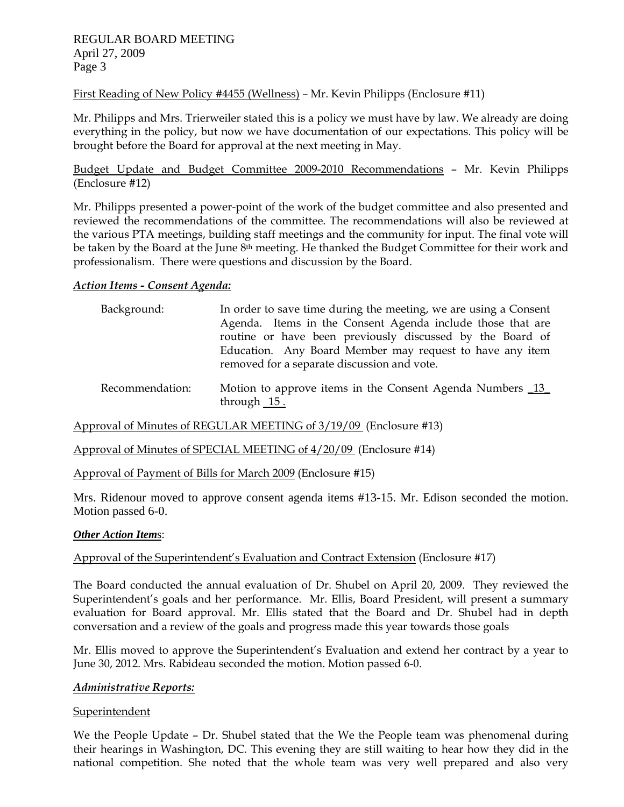First Reading of New Policy #4455 (Wellness) – Mr. Kevin Philipps (Enclosure #11)

Mr. Philipps and Mrs. Trierweiler stated this is a policy we must have by law. We already are doing everything in the policy, but now we have documentation of our expectations. This policy will be brought before the Board for approval at the next meeting in May.

Budget Update and Budget Committee 2009-2010 Recommendations – Mr. Kevin Philipps (Enclosure #12)

Mr. Philipps presented a power-point of the work of the budget committee and also presented and reviewed the recommendations of the committee. The recommendations will also be reviewed at the various PTA meetings, building staff meetings and the community for input. The final vote will be taken by the Board at the June 8<sup>th</sup> meeting. He thanked the Budget Committee for their work and professionalism. There were questions and discussion by the Board.

### *Action Items - Consent Agenda:*

| Background: | In order to save time during the meeting, we are using a Consent |
|-------------|------------------------------------------------------------------|
|             | Agenda. Items in the Consent Agenda include those that are       |
|             | routine or have been previously discussed by the Board of        |
|             | Education. Any Board Member may request to have any item         |
|             | removed for a separate discussion and vote.                      |

Recommendation: Motion to approve items in the Consent Agenda Numbers 13 through  $15$ .

Approval of Minutes of REGULAR MEETING of 3/19/09 (Enclosure #13)

Approval of Minutes of SPECIAL MEETING of 4/20/09 (Enclosure #14)

Approval of Payment of Bills for March 2009 (Enclosure #15)

Mrs. Ridenour moved to approve consent agenda items #13-15. Mr. Edison seconded the motion. Motion passed 6-0.

#### *Other Action Item*s:

## Approval of the Superintendent's Evaluation and Contract Extension (Enclosure #17)

The Board conducted the annual evaluation of Dr. Shubel on April 20, 2009. They reviewed the Superintendent's goals and her performance. Mr. Ellis, Board President, will present a summary evaluation for Board approval. Mr. Ellis stated that the Board and Dr. Shubel had in depth conversation and a review of the goals and progress made this year towards those goals

Mr. Ellis moved to approve the Superintendent's Evaluation and extend her contract by a year to June 30, 2012. Mrs. Rabideau seconded the motion. Motion passed 6-0.

#### *Administrative Reports:*

#### Superintendent

We the People Update – Dr. Shubel stated that the We the People team was phenomenal during their hearings in Washington, DC. This evening they are still waiting to hear how they did in the national competition. She noted that the whole team was very well prepared and also very